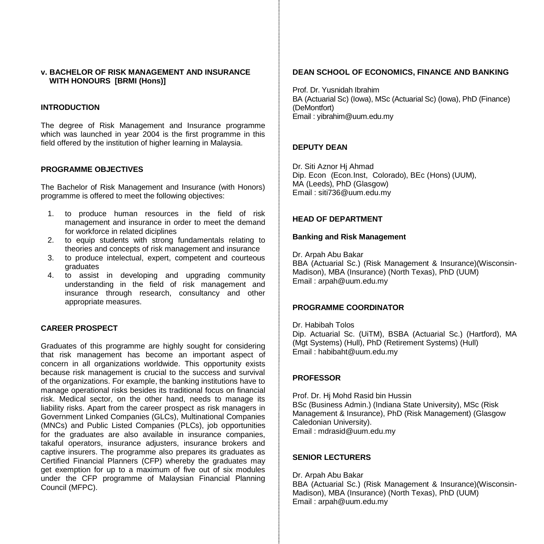#### **v. BACHELOR OF RISK MANAGEMENT AND INSURANCE WITH HONOURS [BRMI (Hons)]**

### **INTRODUCTION**

The degree of Risk Management and Insurance programme which was launched in year 2004 is the first programme in this field offered by the institution of higher learning in Malaysia.

### **PROGRAMME OBJECTIVES**

The Bachelor of Risk Management and Insurance (with Honors) programme is offered to meet the following objectives:

- 1. to produce human resources in the field of risk management and insurance in order to meet the demand for workforce in related diciplines
- 2. to equip students with strong fundamentals relating to theories and concepts of risk management and insurance
- 3. to produce intelectual, expert, competent and courteous graduates
- 4. to assist in developing and upgrading community understanding in the field of risk management and insurance through research, consultancy and other appropriate measures.

## **CAREER PROSPECT**

Graduates of this programme are highly sought for considering that risk management has become an important aspect of concern in all organizations worldwide. This opportunity exists because risk management is crucial to the success and survival of the organizations. For example, the banking institutions have to manage operational risks besides its traditional focus on financial risk. Medical sector, on the other hand, needs to manage its liability risks. Apart from the career prospect as risk managers in Government Linked Companies (GLCs), Multinational Companies (MNCs) and Public Listed Companies (PLCs), job opportunities for the graduates are also available in insurance companies, takaful operators, insurance adjusters, insurance brokers and captive insurers. The programme also prepares its graduates as Certified Financial Planners (CFP) whereby the graduates may get exemption for up to a maximum of five out of six modules under the CFP programme of Malaysian Financial Planning Council (MFPC).

### **DEAN SCHOOL OF ECONOMICS, FINANCE AND BANKING**

Prof. Dr. Yusnidah Ibrahim BA (Actuarial Sc) (Iowa), MSc (Actuarial Sc) (Iowa), PhD (Finance) (DeMontfort) Email [: yibrahim@uum.edu.my](mailto:aali@uum.edu.my)

### **DEPUTY DEAN**

Dr. Siti Aznor Hj Ahmad Dip. Econ (Econ.Inst, Colorado), BEc (Hons) (UUM), MA (Leeds), PhD (Glasgow) Email [: siti736@uum.edu.my](mailto:siti736@uum.edu.my)

### **HEAD OF DEPARTMENT**

#### **Banking and Risk Management**

Dr. Arpah Abu Bakar BBA (Actuarial Sc.) (Risk Management & Insurance)(Wisconsin-Madison), MBA (Insurance) (North Texas), PhD (UUM) Email : arpah@uum.edu.my

#### **PROGRAMME COORDINATOR**

Dr. Habibah Tolos Dip. Actuarial Sc. (UiTM), BSBA (Actuarial Sc.) (Hartford), MA (Mgt Systems) (Hull), PhD (Retirement Systems) (Hull) Email : habibaht@uum.edu.my

### **PROFESSOR**

Prof. Dr. Hj Mohd Rasid bin Hussin BSc (Business Admin.) (Indiana State University), MSc (Risk Management & Insurance), PhD (Risk Management) (Glasgow Caledonian University). Email : mdrasid@uum.edu.my

## **SENIOR LECTURERS**

Dr. Arpah Abu Bakar BBA (Actuarial Sc.) (Risk Management & Insurance)(Wisconsin-Madison), MBA (Insurance) (North Texas), PhD (UUM) Email : arpah@uum.edu.my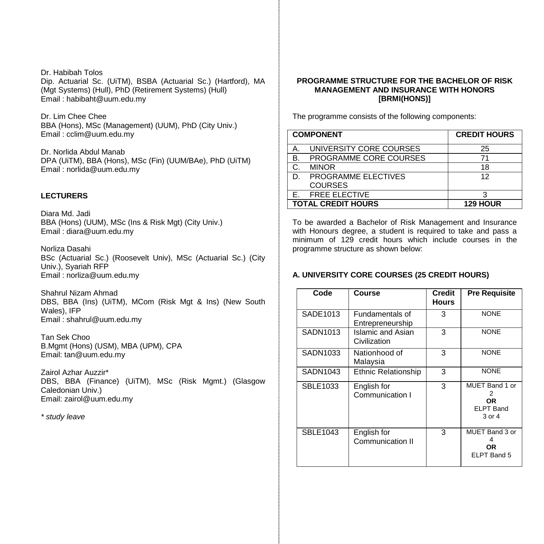Dr. Habibah Tolos Dip. Actuarial Sc. (UiTM), BSBA (Actuarial Sc.) (Hartford), MA (Mgt Systems) (Hull), PhD (Retirement Systems) (Hull) Email : habibaht@uum.edu.my

Dr. Lim Chee Chee BBA (Hons), MSc (Management) (UUM), PhD (City Univ.) Email : cclim@uum.edu.my

Dr. Norlida Abdul Manab DPA (UiTM), BBA (Hons), MSc (Fin) (UUM/BAe), PhD (UiTM) Email [: norlida@uum.edu.my](mailto:norlida@uum.edu.my)

## **LECTURERS**

Diara Md. Jadi BBA (Hons) (UUM), MSc (Ins & Risk Mgt) (City Univ.) Email : diara@uum.edu.my

Norliza Dasahi BSc (Actuarial Sc.) (Roosevelt Univ), MSc (Actuarial Sc.) (City Univ.), Syariah RFP Email : norliza@uum.edu.my

Shahrul Nizam Ahmad DBS, BBA (Ins) (UiTM), MCom (Risk Mgt & Ins) (New South Wales), IFP Email : shahrul@uum.edu.my

Tan Sek Choo B.Mgmt (Hons) (USM), MBA (UPM), CPA Email: tan@uum.edu.my

Zairol Azhar Auzzir\* DBS, BBA (Finance) (UiTM), MSc (Risk Mgmt.) (Glasgow Caledonian Univ.) Email: zairol@uum.edu.my

*\* study leave*

## **PROGRAMME STRUCTURE FOR THE BACHELOR OF RISK MANAGEMENT AND INSURANCE WITH HONORS [BRMI(HONS)]**

The programme consists of the following components:

|    | <b>COMPONENT</b>          | <b>CREDIT HOURS</b> |
|----|---------------------------|---------------------|
| Α. | UNIVERSITY CORE COURSES   | 25                  |
| В. | PROGRAMME CORE COURSES    | 71                  |
| C. | <b>MINOR</b>              | 18                  |
| D. | PROGRAMME ELECTIVES       | 12                  |
|    | <b>COURSES</b>            |                     |
| F. | <b>FREE ELECTIVE</b>      | 2                   |
|    | <b>TOTAL CREDIT HOURS</b> | <b>129 HOUR</b>     |

To be awarded a Bachelor of Risk Management and Insurance with Honours degree, a student is required to take and pass a minimum of 129 credit hours which include courses in the programme structure as shown below:

## **A. UNIVERSITY CORE COURSES (25 CREDIT HOURS)**

| Code            | Course                              | <b>Credit</b><br>Hours | <b>Pre Requisite</b>                                    |
|-----------------|-------------------------------------|------------------------|---------------------------------------------------------|
| SADE1013        | Fundamentals of<br>Entrepreneurship | 3                      | <b>NONE</b>                                             |
| SADN1013        | Islamic and Asian<br>Civilization   | 3                      | <b>NONE</b>                                             |
| SADN1033        | Nationhood of<br>Malaysia           | 3                      | <b>NONE</b>                                             |
| SADN1043        | <b>Ethnic Relationship</b>          | 3                      | <b>NONE</b>                                             |
| SBLE1033        | English for<br>Communication I      | 3                      | MUET Band 1 or<br>2<br>ΟR<br><b>ELPT Band</b><br>3 or 4 |
| <b>SBLE1043</b> | English for<br>Communication II     | 3                      | MUET Band 3 or<br>ΟR<br>ELPT Band 5                     |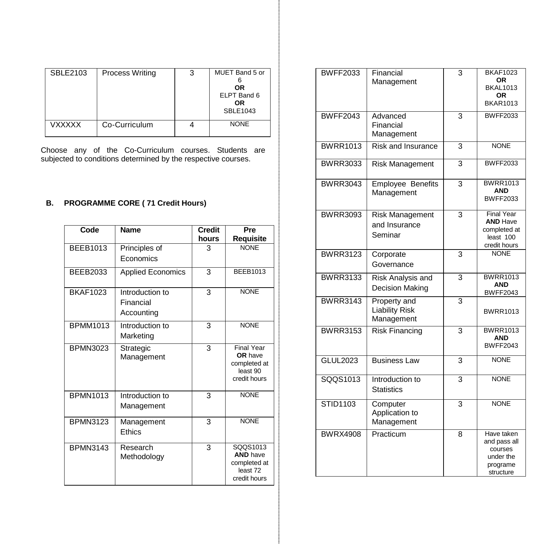| SBLE2103      | <b>Process Writing</b> | 3 | MUET Band 5 or<br>0R<br>ELPT Band 6<br>ΟR<br><b>SBLE1043</b> |
|---------------|------------------------|---|--------------------------------------------------------------|
| <b>VXXXXX</b> | Co-Curriculum          |   | <b>NONE</b>                                                  |

Choose any of the Co -Curriculum courses. Students are subjected to conditions determined by the respective courses.

# **B. PROGRAMME CORE ( 71 Credit Hours)**

| Code            | <b>Name</b>                                | <b>Credit</b><br>hours | Pre<br>Requisite                                                         |
|-----------------|--------------------------------------------|------------------------|--------------------------------------------------------------------------|
| <b>BEEB1013</b> | Principles of<br><b>Economics</b>          | 3                      | <b>NONE</b>                                                              |
| BEEB2033        | <b>Applied Economics</b>                   | 3                      | <b>BEEB1013</b>                                                          |
| <b>BKAF1023</b> | Introduction to<br>Financial<br>Accounting | 3                      | <b>NONE</b>                                                              |
| <b>BPMM1013</b> | Introduction to<br>Marketing               | 3                      | <b>NONE</b>                                                              |
| <b>BPMN3023</b> | Strategic<br>Management                    | 3                      | <b>Final Year</b><br>OR have<br>completed at<br>least 90<br>credit hours |
| <b>BPMN1013</b> | Introduction to<br>Management              | 3                      | <b>NONE</b>                                                              |
| <b>BPMN3123</b> | Management<br><b>Fthics</b>                | 3                      | <b>NONE</b>                                                              |
| <b>BPMN3143</b> | Research<br>Methodology                    | 3                      | SQQS1013<br><b>AND have</b><br>completed at<br>least 72<br>credit hours  |

| <b>BWFF2033</b> | Financial<br>Management                            | 3              | <b>BKAF1023</b><br>0R<br><b>BKAL1013</b><br>OR.<br><b>BKAR1013</b>                |
|-----------------|----------------------------------------------------|----------------|-----------------------------------------------------------------------------------|
| <b>BWFF2043</b> | Advanced<br>Financial<br>Management                | 3              | <b>BWFF2033</b>                                                                   |
| <b>BWRR1013</b> | <b>Risk and Insurance</b>                          | 3              | <b>NONE</b>                                                                       |
| <b>BWRR3033</b> | Risk Management                                    | 3              | <b>BWFF2033</b>                                                                   |
| <b>BWRR3043</b> | Employee Benefits<br>Management                    | 3              | <b>BWRR1013</b><br><b>AND</b><br><b>BWFF2033</b>                                  |
| <b>BWRR3093</b> | <b>Risk Management</b><br>and Insurance<br>Seminar | 3              | <b>Final Year</b><br><b>AND Have</b><br>completed at<br>least 100<br>credit hours |
| <b>BWRR3123</b> | Corporate<br>Governance                            | 3              | <b>NONE</b>                                                                       |
| <b>BWRR3133</b> | Risk Analysis and<br>Decision Making               | 3              | <b>BWRR1013</b><br>AND<br><b>BWFF2043</b>                                         |
| <b>BWRR3143</b> | Property and<br>Liability Risk<br>Management       | 3              | <b>BWRR1013</b>                                                                   |
| <b>BWRR3153</b> | <b>Risk Financing</b>                              | $\overline{3}$ | <b>BWRR1013</b><br>AND<br><b>BWFF2043</b>                                         |
| <b>GLUL2023</b> | <b>Business Law</b>                                | 3              | <b>NONE</b>                                                                       |
| SQQS1013        | Introduction to<br><b>Statistics</b>               | $\overline{3}$ | <b>NONE</b>                                                                       |
| <b>STID1103</b> | Computer<br>Application to<br>Management           | 3              | <b>NONE</b>                                                                       |
| <b>BWRX4908</b> | Practicum                                          | 8              | Have taken<br>and pass all<br>courses<br>under the<br>programe<br>structure       |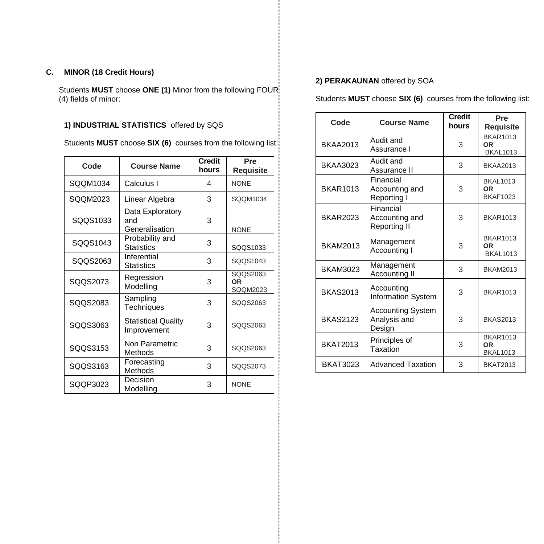# **C. MINOR (18 Credit Hours)**

Students **MUST** choose **ONE (1)** Minor from the following FOUR (4) fields of minor:

# **1) INDUSTRIAL STATISTICS** offered by SQS

Students **MUST** choose **SIX (6)** courses from the following list:

| Code     | <b>Course Name</b>                        | <b>Credit</b><br>hours | Pre<br><b>Requisite</b>           |
|----------|-------------------------------------------|------------------------|-----------------------------------|
| SQQM1034 | Calculus I                                | 4                      | <b>NONE</b>                       |
| SQQM2023 | Linear Algebra                            | 3                      | SQQM1034                          |
| SQQS1033 | Data Exploratory<br>and<br>Generalisation | 3                      | <b>NONE</b>                       |
| SQQS1043 | Probability and<br><b>Statistics</b>      | 3                      | SQQS1033                          |
| SQQS2063 | Inferential<br><b>Statistics</b>          | 3                      | SQQS1043                          |
| SQQS2073 | Regression<br>Modelling                   | 3                      | SQQS2063<br><b>OR</b><br>SQQM2023 |
| SQQS2083 | Sampling<br>Techniques                    | 3                      | SQQS2063                          |
| SQQS3063 | <b>Statistical Quality</b><br>Improvement | 3                      | SQQS2063                          |
| SQQS3153 | Non Parametric<br>Methods                 | 3                      | SQQS2063                          |
| SQQS3163 | Forecasting<br>Methods                    | 3                      | SQQS2073                          |
| SQQP3023 | Decision<br>Modelling                     | 3                      | <b>NONE</b>                       |

# **2) PERAKAUNAN** offered by SOA

Students **MUST** choose **SIX (6)** courses from the following list:

| Code            | <b>Course Name</b>                                 | Credit<br>hours | Pre<br>Requisite                                |
|-----------------|----------------------------------------------------|-----------------|-------------------------------------------------|
| <b>BKAA2013</b> | Audit and<br>Assurance I                           | 3               | <b>BKAR1013</b><br>0R<br><b>BKAL1013</b>        |
| <b>BKAA3023</b> | Audit and<br>Assurance II                          | 3               | <b>BKAA2013</b>                                 |
| <b>BKAR1013</b> | Financial<br>Accounting and<br>Reporting I         | 3               | <b>BKAL1013</b><br><b>OR</b><br><b>BKAF1023</b> |
| <b>BKAR2023</b> | Financial<br>Accounting and<br><b>Reporting II</b> | 3               | <b>BKAR1013</b>                                 |
| <b>BKAM2013</b> | Management<br>Accounting I                         | 3               | <b>BKAR1013</b><br>0R<br><b>BKAL1013</b>        |
| <b>BKAM3023</b> | Management<br>Accounting II                        | 3               | <b>BKAM2013</b>                                 |
| <b>BKAS2013</b> | Accounting<br><b>Information System</b>            | 3               | <b>BKAR1013</b>                                 |
| <b>BKAS2123</b> | <b>Accounting System</b><br>Analysis and<br>Design | 3               | <b>BKAS2013</b>                                 |
| <b>BKAT2013</b> | Principles of<br>Taxation                          | 3               | <b>BKAR1013</b><br>OR<br><b>BKAL1013</b>        |
| <b>BKAT3023</b> | <b>Advanced Taxation</b>                           | 3               | <b>BKAT2013</b>                                 |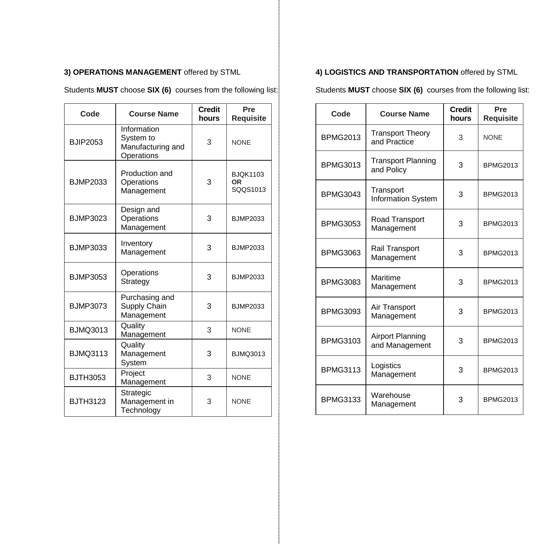# **3) OPERATIONS MANAGEMENT** offered by STML

Students **MUST** choose **SIX (6)** courses from the following list:

| Code            | <b>Course Name</b>                                          | <b>Credit</b><br>hours | Pre<br><b>Requisite</b>           |
|-----------------|-------------------------------------------------------------|------------------------|-----------------------------------|
| <b>BJIP2053</b> | Information<br>System to<br>Manufacturing and<br>Operations | 3                      | <b>NONE</b>                       |
| <b>BJMP2033</b> | Production and<br>Operations<br>Management                  | 3                      | <b>BJQK1103</b><br>ΟR<br>SQQS1013 |
| <b>BJMP3023</b> | Design and<br>Operations<br>Management                      | 3                      | <b>BJMP2033</b>                   |
| <b>BJMP3033</b> | Inventory<br>Management                                     | 3                      | <b>BJMP2033</b>                   |
| <b>BJMP3053</b> | Operations<br>Strategy                                      | 3                      | <b>BJMP2033</b>                   |
| <b>BJMP3073</b> | Purchasing and<br>Supply Chain<br>Management                | 3                      | <b>BJMP2033</b>                   |
| <b>BJMQ3013</b> | Quality<br>Management                                       | 3                      | <b>NONE</b>                       |
| <b>BJMQ3113</b> | Quality<br>Management<br>System                             | 3                      | <b>BJMQ3013</b>                   |
| <b>BJTH3053</b> | Project<br>Management                                       | 3                      | <b>NONE</b>                       |
| <b>BJTH3123</b> | Strategic<br>Management in<br>Technology                    | 3                      | <b>NONE</b>                       |

# **4) LOGISTICS AND TRANSPORTATION** offered by STML

Students **MUST** choose **SIX (6)** courses from the following list:

| Code            | <b>Course Name</b>                        | <b>Credit</b><br>hours | Pre<br><b>Requisite</b> |
|-----------------|-------------------------------------------|------------------------|-------------------------|
| <b>BPMG2013</b> | <b>Transport Theory</b><br>and Practice   | 3                      | <b>NONE</b>             |
| <b>BPMG3013</b> | <b>Transport Planning</b><br>and Policy   | 3                      | <b>BPMG2013</b>         |
| <b>BPMG3043</b> | Transport<br><b>Information System</b>    | 3                      | <b>BPMG2013</b>         |
| <b>BPMG3053</b> | Road Transport<br>Management              | 3                      | <b>BPMG2013</b>         |
| <b>BPMG3063</b> | Rail Transport<br>Management              | 3                      | <b>BPMG2013</b>         |
| <b>BPMG3083</b> | Maritime<br>Management                    | 3                      | <b>BPMG2013</b>         |
| <b>BPMG3093</b> | Air Transport<br>Management               | 3                      | <b>BPMG2013</b>         |
| <b>BPMG3103</b> | <b>Airport Planning</b><br>and Management | 3                      | <b>BPMG2013</b>         |
| <b>BPMG3113</b> | Logistics<br>Management                   | 3                      | <b>BPMG2013</b>         |
| <b>BPMG3133</b> | Warehouse<br>Management                   | 3                      | <b>BPMG2013</b>         |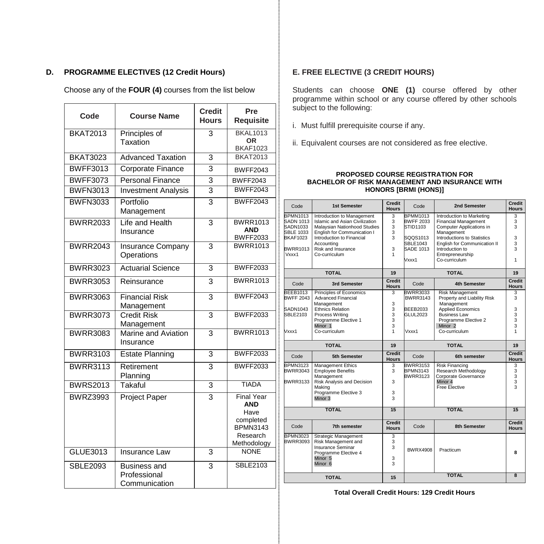# **D. PROGRAMME ELECTIVES (12 Credit Hours)**

Choose any of the **FOUR (4)** courses from the list below

| Code            | <b>Course Name</b>                            | <b>Credit</b><br><b>Hours</b> | Pre<br>Requisite                                                                                   |
|-----------------|-----------------------------------------------|-------------------------------|----------------------------------------------------------------------------------------------------|
| <b>BKAT2013</b> | Principles of<br>Taxation                     | 3                             | <b>BKAL1013</b><br><b>OR</b><br><b>BKAF1023</b>                                                    |
| <b>BKAT3023</b> | <b>Advanced Taxation</b>                      | 3                             | <b>BKAT2013</b>                                                                                    |
| <b>BWFF3013</b> | <b>Corporate Finance</b>                      | 3                             | <b>BWFF2043</b>                                                                                    |
| <b>BWFF3073</b> | Personal Finance                              | 3                             | <b>BWFF2043</b>                                                                                    |
| <b>BWFN3013</b> | <b>Investment Analysis</b>                    | $\overline{3}$                | <b>BWFF2043</b>                                                                                    |
| <b>BWFN3033</b> | Portfolio<br>Management                       | $\overline{\mathbf{3}}$       | <b>BWFF2043</b>                                                                                    |
| <b>BWRR2033</b> | Life and Health<br>Insurance                  | 3                             | <b>BWRR1013</b><br><b>AND</b><br><b>BWFF2033</b>                                                   |
| <b>BWRR2043</b> | <b>Insurance Company</b><br>Operations        | $\overline{\mathbf{3}}$       | <b>BWRR1013</b>                                                                                    |
| <b>BWRR3023</b> | <b>Actuarial Science</b>                      | 3                             | <b>BWFF2033</b>                                                                                    |
| <b>BWRR3053</b> | Reinsurance                                   | $\overline{3}$                | <b>BWRR1013</b>                                                                                    |
| <b>BWRR3063</b> | <b>Financial Risk</b><br>Management           | $\overline{\mathbf{3}}$       | <b>BWFF2043</b>                                                                                    |
| <b>BWRR3073</b> | <b>Credit Risk</b><br>Management              | 3                             | <b>BWFF2033</b>                                                                                    |
| <b>BWRR3083</b> | Marine and Aviation<br>Insurance              | 3                             | <b>BWRR1013</b>                                                                                    |
| <b>BWRR3103</b> | <b>Estate Planning</b>                        | $\overline{3}$                | <b>BWFF2033</b>                                                                                    |
| <b>BWRR3113</b> | Retirement<br>Planning                        | $\overline{\mathbf{3}}$       | <b>BWFF2033</b>                                                                                    |
| <b>BWRS2013</b> | Takaful                                       | $\overline{3}$                | TIADA                                                                                              |
| <b>BWRZ3993</b> | <b>Project Paper</b>                          | 3                             | <b>Final Year</b><br><b>AND</b><br>Have<br>completed<br><b>BPMN3143</b><br>Research<br>Methodology |
| GLUE3013        | Insurance Law                                 | $\overline{3}$                | <b>NONE</b>                                                                                        |
| <b>SBLE2093</b> | Business and<br>Professional<br>Communication | 3                             | <b>SBLE2103</b>                                                                                    |

# **E. FREE ELECTIVE (3 CREDIT HOURS)**

Students can choose **ONE (1)** course offered by other programme within school or any course offered by other schools subject to the following:

- i. Must fulfill prerequisite course if any.
- ii. Equivalent courses are not considered as free elective.

#### **PROPOSED COURSE REGISTRATION FOR BACHELOR OF RISK MANAGEMENT AND INSURANCE WITH HONORS [BRMI (HONS)]**

| Code                                                       | 1st Semester                                                                                                                | Credit<br><b>Hours</b> | Code                                            | 2nd Semester                                                                                       | Credit<br><b>Hours</b> |
|------------------------------------------------------------|-----------------------------------------------------------------------------------------------------------------------------|------------------------|-------------------------------------------------|----------------------------------------------------------------------------------------------------|------------------------|
| BPMN1013<br>SADN 1013<br>SADN1033<br>SBLE 1033<br>BKAF1023 | Introduction to Management<br>Islamic and Asian Civilization<br>Malaysian Nationhood Studies<br>English for Communication I | 3<br>3<br>3<br>3       | <b>BPMM1013</b><br><b>BWFF 2033</b><br>STID1103 | Introduction to Marketing<br><b>Financial Management</b><br>Computer Applications in<br>Management | 3<br>3<br>3            |
|                                                            | Introduction to Financial<br>Accounting                                                                                     | 3                      | SQQS1013<br><b>SBLE1043</b>                     | Introductions to Statistics<br>English for Communication II                                        | 3<br>3                 |
| BWRR1013<br>Vxxx1                                          | Risk and Insurance<br>Co-curriculum                                                                                         | 3<br>1                 | <b>SADE 1013</b><br>Vxxx1                       | Introduction to<br>Entrepreneurship<br>Co-curriculum                                               | 3<br>1                 |
|                                                            | <b>TOTAL</b>                                                                                                                | 19                     |                                                 | <b>TOTAL</b>                                                                                       | 19                     |
| Code                                                       | 3rd Semester                                                                                                                | Credit<br><b>Hours</b> | Code                                            | <b>4th Semester</b>                                                                                | Credit<br><b>Hours</b> |
| BEEB1013<br>BWFF 2043                                      | Principles of Economics<br><b>Advanced Financial</b>                                                                        | 3                      | BWRR3033<br><b>BWRR3143</b>                     | Risk Management<br>Property and Liability Risk                                                     | 3<br>3                 |
| SADN1043<br>SBLE2103                                       | Management<br><b>Ethnics Relation</b><br>Process Writing                                                                    | 3<br>3<br>3            | <b>BEEB2033</b><br><b>GLUL2023</b>              | Management<br>Applied Economics<br><b>Business Law</b>                                             | 3<br>3                 |
| Vxxx1                                                      | Programme Elective 1<br>Minor 1<br>Co-curriculum                                                                            | 3<br>3<br>1            | Vxxx1                                           | Programme Elective 2<br>Minor <sub>2</sub><br>Co-curriculum                                        | 3<br>3<br>1            |
|                                                            | <b>TOTAL</b>                                                                                                                | 19                     |                                                 | <b>TOTAL</b>                                                                                       | 19                     |
| Code                                                       | 5th Semester                                                                                                                | Credit<br><b>Hours</b> | Code                                            | 6th semester                                                                                       | Credit<br><b>Hours</b> |
|                                                            |                                                                                                                             |                        |                                                 |                                                                                                    |                        |
| BPMN3123<br>BWRR3043                                       | <b>Management Ethics</b><br><b>Employee Benefits</b>                                                                        | 3<br>3                 | <b>BWRR3153</b><br><b>BPMN3143</b>              | Risk Financing<br>Research Methodology                                                             | 3<br>3                 |
| <b>BWRR3133</b>                                            | Management<br>Risk Analysis and Decision<br>Making                                                                          | 3                      | <b>BWRR3123</b>                                 | Corporate Governance<br>Minor 4<br>Free Flective                                                   | 3<br>3<br>$\mathbf{a}$ |
|                                                            | Programme Elective 3<br>Minor 3                                                                                             | 3<br>3                 |                                                 |                                                                                                    |                        |
|                                                            | <b>TOTAL</b>                                                                                                                | 15                     |                                                 | <b>TOTAL</b>                                                                                       | 15                     |
| Code                                                       | 7th semester                                                                                                                | Credit<br><b>Hours</b> | Code                                            | <b>8th Semester</b>                                                                                | Credit<br><b>Hours</b> |
| <b>BPMN3023</b><br><b>BWRR3093</b>                         | Strategic Management<br>Risk Management and<br>Insurance Seminar                                                            | 3<br>3<br>3            | <b>BWRX4908</b>                                 | Practicum                                                                                          |                        |
|                                                            | Programme Elective 4<br>Minor <sub>5</sub><br>Minor <sub>6</sub>                                                            | 3<br>$\mathbf{a}$      |                                                 |                                                                                                    | 8                      |

**Total Overall Credit Hours: 129 Credit Hours**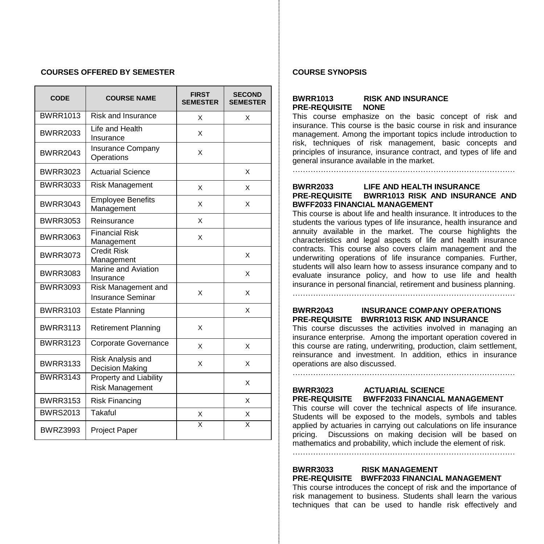#### **COURSES OFFERED BY SEMESTER**

| <b>CODE</b>     | <b>COURSE NAME</b>                               | <b>FIRST</b><br><b>SEMESTER</b> | <b>SECOND</b><br><b>SEMESTER</b> |
|-----------------|--------------------------------------------------|---------------------------------|----------------------------------|
| <b>BWRR1013</b> | <b>Risk and Insurance</b>                        | X                               | X                                |
| <b>BWRR2033</b> | Life and Health<br>Insurance                     | X                               |                                  |
| <b>BWRR2043</b> | Insurance Company<br>Operations                  | X                               |                                  |
| <b>BWRR3023</b> | <b>Actuarial Science</b>                         |                                 | X                                |
| <b>BWRR3033</b> | <b>Risk Management</b>                           | X                               | X                                |
| <b>BWRR3043</b> | <b>Employee Benefits</b><br>Management           | X                               | X                                |
| <b>BWRR3053</b> | Reinsurance                                      | X                               |                                  |
| <b>BWRR3063</b> | <b>Financial Risk</b><br>Management              | X                               |                                  |
| <b>BWRR3073</b> | <b>Credit Risk</b><br>Management                 |                                 | X                                |
| <b>BWRR3083</b> | Marine and Aviation<br>Insurance                 |                                 | X                                |
| <b>BWRR3093</b> | Risk Management and<br><b>Insurance Seminar</b>  | X                               | X                                |
| <b>BWRR3103</b> | <b>Estate Planning</b>                           |                                 | X                                |
| <b>BWRR3113</b> | <b>Retirement Planning</b>                       | X                               |                                  |
| <b>BWRR3123</b> | Corporate Governance                             | X                               | X                                |
| <b>BWRR3133</b> | Risk Analysis and<br>Decision Making             | X                               | X                                |
| <b>BWRR3143</b> | Property and Liability<br><b>Risk Management</b> |                                 | X                                |
| <b>BWRR3153</b> | <b>Risk Financing</b>                            |                                 | X                                |
| <b>BWRS2013</b> | Takaful                                          | X                               | X                                |
| <b>BWRZ3993</b> | Project Paper                                    | x                               | X                                |

#### **COURSE SYNOPSIS**

## **BWRR1013 RISK AND INSURANCE PRE-REQUISITE NONE**

This course emphasize on the basic concept of risk and insurance. This course is the basic course in risk and insurance management. Among the important topics include introduction to risk, techniques of risk management, basic concepts and principles of insurance, insurance contract, and types of life and general insurance available in the market.

## **BWRR2033 LIFE AND HEALTH INSURANCE PRE-REQUISITE BWRR1013 RISK AND INSURANCE AND BWFF2033 FINANCIAL MANAGEMENT**

……………………………………………………………………………

This course is about life and health insurance. It introduces to the students the various types of life insurance, health insurance and annuity available in the market. The course highlights the characteristics and legal aspects of life and health insurance contracts. This course also covers claim management and the underwriting operations of life insurance companies. Further, students will also learn how to assess insurance company and to evaluate insurance policy, and how to use life and health insurance in personal financial, retirement and business planning. ……………………………………………………………………………

# **BWRR2043 INSURANCE COMPANY OPERATIONS PRE-REQUISITE BWRR1013 RISK AND INSURANCE**

This course discusses the activities involved in managing an insurance enterprise. Among the important operation covered in this course are rating, underwriting, production, claim settlement, reinsurance and investment. In addition, ethics in insurance operations are also discussed. ……………………………………………………………………………

# **BWRR3023 ACTUARIAL SCIENCE PRE-REQUISITE BWFF2033 FINANCIAL MANAGEMENT**

This course will cover the technical aspects of life insurance. Students will be exposed to the models, symbols and tables applied by actuaries in carrying out calculations on life insurance pricing. Discussions on making decision will be based on mathematics and probability, which include the element of risk.

……………………………………………………………………………

# **BWRR3033 RISK MANAGEMENT PRE-REQUISITE BWFF2033 FINANCIAL MANAGEMENT**

This course introduces the concept of risk and the importance of risk management to business. Students shall learn the various techniques that can be used to handle risk effectively and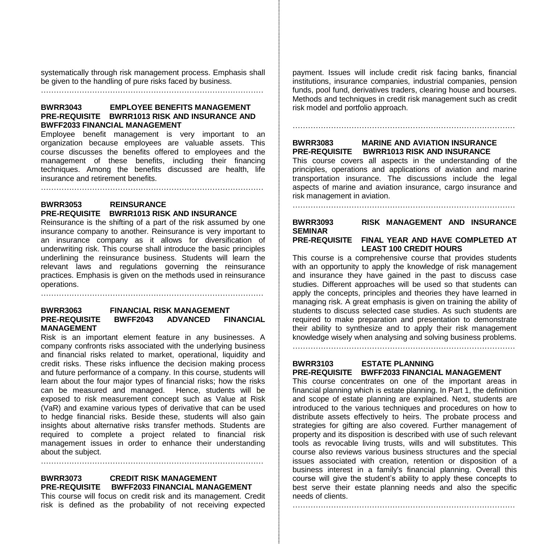systematically through risk management process. Emphasis shall be given to the handling of pure risks faced by business.

……………………………………………………………………………

## **BWRR3043 EMPLOYEE BENEFITS MANAGEMENT PRE-REQUISITE BWRR1013 RISK AND INSURANCE AND BWFF2033 FINANCIAL MANAGEMENT**

Employee benefit management is very important to an organization because employees are valuable assets. This course discusses the benefits offered to employees and the management of these benefits, including their financing techniques. Among the benefits discussed are health, life insurance and retirement benefits.

……………………………………………………………………………

# **BWRR3053 REINSURANCE PRE-REQUISITE BWRR1013 RISK AND INSURANCE**

Reinsurance is the shifting of a part of the risk assumed by one insurance company to another. Reinsurance is very important to an insurance company as it allows for diversification of underwriting risk. This course shall introduce the basic principles underlining the reinsurance business. Students will learn the relevant laws and regulations governing the reinsurance practices. Emphasis is given on the methods used in reinsurance operations.

……………………………………………………………………………

## **BWRR3063 FINANCIAL RISK MANAGEMENT PRE-REQUISITE BWFF2043 ADVANCED FINANCIAL MANAGEMENT**

Risk is an important element feature in any businesses. A company confronts risks associated with the underlying business and financial risks related to market, operational, liquidity and credit risks. These risks influence the decision making process and future performance of a company. In this course, students will learn about the four major types of financial risks; how the risks can be measured and managed. Hence, students will be exposed to risk measurement concept such as Value at Risk (VaR) and examine various types of derivative that can be used to hedge financial risks. Beside these, students will also gain insights about alternative risks transfer methods. Students are required to complete a project related to financial risk management issues in order to enhance their understanding about the subject.

# **BWRR3073 CREDIT RISK MANAGEMENT PRE-REQUISITE BWFF2033 FINANCIAL MANAGEMENT**

This course will focus on credit risk and its management. Credit risk is defined as the probability of not receiving expected payment. Issues will include credit risk facing banks, financial institutions, insurance companies, industrial companies, pension funds, pool fund, derivatives traders, clearing house and bourses. Methods and techniques in credit risk management such as credit risk model and portfolio approach.

……………………………………………………………………………

# **BWRR3083 MARINE AND AVIATION INSURANCE PRE-REQUISITE BWRR1013 RISK AND INSURANCE**

This course covers all aspects in the understanding of the principles, operations and applications of aviation and marine transportation insurance. The discussions include the legal aspects of marine and aviation insurance, cargo insurance and risk management in aviation.

……………………………………………………………………………

## **BWRR3093 RISK MANAGEMENT AND INSURANCE SEMINAR PRE-REQUISITE FINAL YEAR AND HAVE COMPLETED AT**

**LEAST 100 CREDIT HOURS** This course is a comprehensive course that provides students with an opportunity to apply the knowledge of risk management and insurance they have gained in the past to discuss case studies. Different approaches will be used so that students can apply the concepts, principles and theories they have learned in managing risk. A great emphasis is given on training the ability of students to discuss selected case studies. As such students are required to make preparation and presentation to demonstrate their ability to synthesize and to apply their risk management knowledge wisely when analysing and solving business problems.

## **BWRR3103 ESTATE PLANNING PRE-REQUISITE BWFF2033 FINANCIAL MANAGEMENT**

……………………………………………………………………………

This course concentrates on one of the important areas in financial planning which is estate planning. In Part 1, the definition and scope of estate planning are explained. Next, students are introduced to the various techniques and procedures on how to distribute assets effectively to heirs. The probate process and strategies for gifting are also covered. Further management of property and its disposition is described with use of such relevant tools as revocable living trusts, wills and will substitutes. This course also reviews various business structures and the special issues associated with creation, retention or disposition of a business interest in a family's financial planning. Overall this course will give the student's ability to apply these concepts to best serve their estate planning needs and also the specific needs of clients.

……………………………………………………………………………